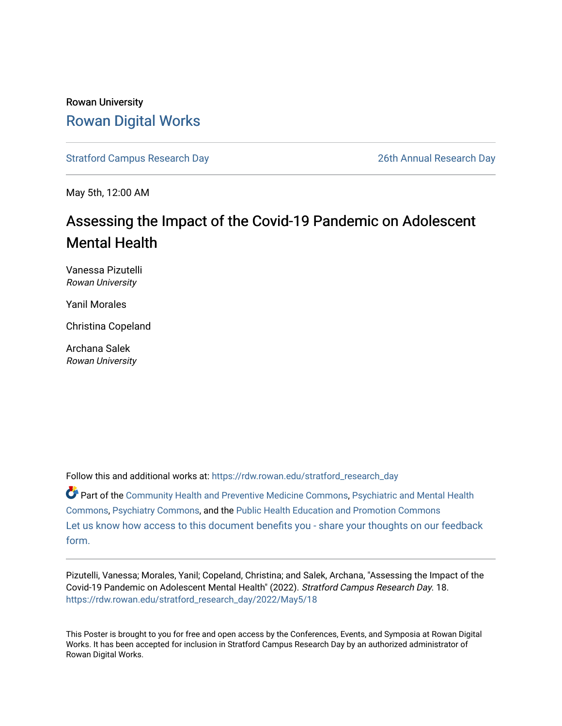### Rowan University [Rowan Digital Works](https://rdw.rowan.edu/)

[Stratford Campus Research Day](https://rdw.rowan.edu/stratford_research_day) [26th Annual Research Day](https://rdw.rowan.edu/stratford_research_day/2022) 

May 5th, 12:00 AM

### Assessing the Impact of the Covid-19 Pandemic on Adolescent Mental Health

Vanessa Pizutelli Rowan University

Yanil Morales

Christina Copeland

Archana Salek Rowan University

Follow this and additional works at: [https://rdw.rowan.edu/stratford\\_research\\_day](https://rdw.rowan.edu/stratford_research_day?utm_source=rdw.rowan.edu%2Fstratford_research_day%2F2022%2FMay5%2F18&utm_medium=PDF&utm_campaign=PDFCoverPages)

Part of the [Community Health and Preventive Medicine Commons](https://network.bepress.com/hgg/discipline/744?utm_source=rdw.rowan.edu%2Fstratford_research_day%2F2022%2FMay5%2F18&utm_medium=PDF&utm_campaign=PDFCoverPages), [Psychiatric and Mental Health](https://network.bepress.com/hgg/discipline/711?utm_source=rdw.rowan.edu%2Fstratford_research_day%2F2022%2FMay5%2F18&utm_medium=PDF&utm_campaign=PDFCoverPages)  [Commons](https://network.bepress.com/hgg/discipline/711?utm_source=rdw.rowan.edu%2Fstratford_research_day%2F2022%2FMay5%2F18&utm_medium=PDF&utm_campaign=PDFCoverPages), [Psychiatry Commons](https://network.bepress.com/hgg/discipline/704?utm_source=rdw.rowan.edu%2Fstratford_research_day%2F2022%2FMay5%2F18&utm_medium=PDF&utm_campaign=PDFCoverPages), and the [Public Health Education and Promotion Commons](https://network.bepress.com/hgg/discipline/743?utm_source=rdw.rowan.edu%2Fstratford_research_day%2F2022%2FMay5%2F18&utm_medium=PDF&utm_campaign=PDFCoverPages) [Let us know how access to this document benefits you - share your thoughts on our feedback](https://www.lib.rowan.edu/rdw-feedback?ref=https://rdw.rowan.edu/stratford_research_day/2022/May5/18) [form.](https://www.lib.rowan.edu/rdw-feedback?ref=https://rdw.rowan.edu/stratford_research_day/2022/May5/18)

Pizutelli, Vanessa; Morales, Yanil; Copeland, Christina; and Salek, Archana, "Assessing the Impact of the Covid-19 Pandemic on Adolescent Mental Health" (2022). Stratford Campus Research Day. 18. [https://rdw.rowan.edu/stratford\\_research\\_day/2022/May5/18](https://rdw.rowan.edu/stratford_research_day/2022/May5/18?utm_source=rdw.rowan.edu%2Fstratford_research_day%2F2022%2FMay5%2F18&utm_medium=PDF&utm_campaign=PDFCoverPages) 

This Poster is brought to you for free and open access by the Conferences, Events, and Symposia at Rowan Digital Works. It has been accepted for inclusion in Stratford Campus Research Day by an authorized administrator of Rowan Digital Works.